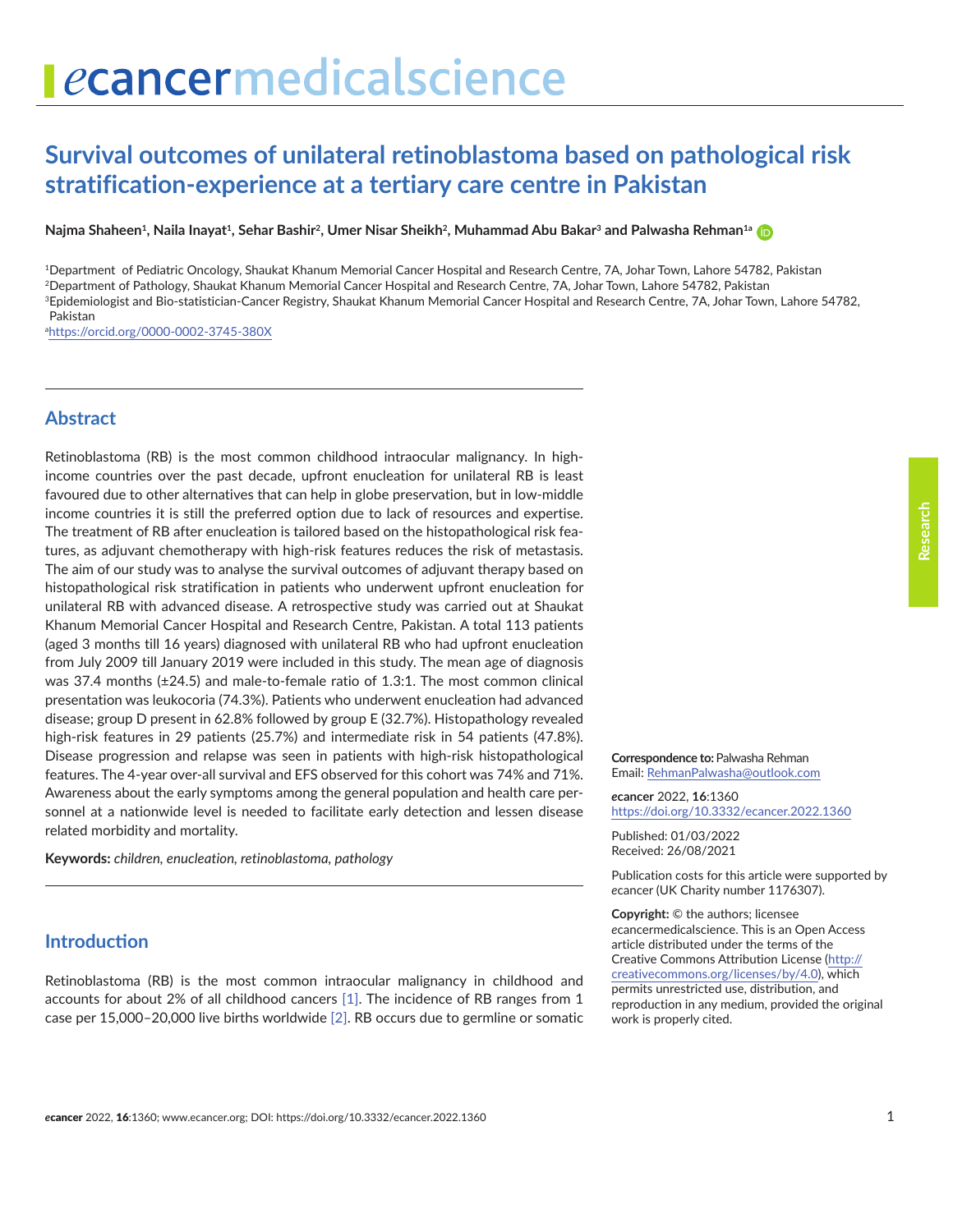# ecancermedicalscience

# **Survival outcomes of unilateral retinoblastoma based on pathological risk stratification-experience at a tertiary care centre in Pakistan**

**Najma Shaheen<sup>1</sup>, Naila Inayat<sup>1</sup>, Sehar Bashir<sup>2</sup>, Umer Nisar Sheikh<sup>2</sup>, Muhammad Abu Bakar<sup>3</sup> and Palwasha Rehman<sup>1a</sup>** 

1Department of Pediatric Oncology, Shaukat Khanum Memorial Cancer Hospital and Research Centre, 7A, Johar Town, Lahore 54782, Pakistan

2Department of Pathology, Shaukat Khanum Memorial Cancer Hospital and Research Centre, 7A, Johar Town, Lahore 54782, Pakistan

3Epidemiologist and Bio-statistician-Cancer Registry, Shaukat Khanum Memorial Cancer Hospital and Research Centre, 7A, Johar Town, Lahore 54782, Pakistan

a <https://orcid.org/0000-0002-3745-380X>

#### **Abstract**

Retinoblastoma (RB) is the most common childhood intraocular malignancy. In highincome countries over the past decade, upfront enucleation for unilateral RB is least favoured due to other alternatives that can help in globe preservation, but in low-middle income countries it is still the preferred option due to lack of resources and expertise. The treatment of RB after enucleation is tailored based on the histopathological risk features, as adjuvant chemotherapy with high-risk features reduces the risk of metastasis. The aim of our study was to analyse the survival outcomes of adjuvant therapy based on histopathological risk stratification in patients who underwent upfront enucleation for unilateral RB with advanced disease. A retrospective study was carried out at Shaukat Khanum Memorial Cancer Hospital and Research Centre, Pakistan. A total 113 patients (aged 3 months till 16 years) diagnosed with unilateral RB who had upfront enucleation from July 2009 till January 2019 were included in this study. The mean age of diagnosis was 37.4 months (±24.5) and male-to-female ratio of 1.3:1. The most common clinical presentation was leukocoria (74.3%). Patients who underwent enucleation had advanced disease; group D present in 62.8% followed by group E (32.7%). Histopathology revealed high-risk features in 29 patients (25.7%) and intermediate risk in 54 patients (47.8%). Disease progression and relapse was seen in patients with high-risk histopathological features. The 4-year over-all survival and EFS observed for this cohort was 74% and 71%. Awareness about the early symptoms among the general population and health care personnel at a nationwide level is needed to facilitate early detection and lessen disease related morbidity and mortality.

**Keywords:** *children, enucleation, retinoblastoma, pathology*

#### **Introduction**

Retinoblastoma (RB) is the most common intraocular malignancy in childhood and accounts for about 2% of all childhood cancers [\[1\].](#page-8-0) The incidence of RB ranges from 1 case per 15,000–20,000 live births worldwide [\[2\]](#page-8-0). RB occurs due to germline or somatic **Correspondence to:** Palwasha Rehman Email: [RehmanPalwasha@outlook.com](mailto:RehmanPalwasha%40outlook.com?subject=)

*e***cancer** 2022, **16**:1360 [https://doi.org/10.3332/ecancer.2022.136](https://doi.org/10.3332/ecancer.2022.1360)0

Published: 01/03/2022 Received: 26/08/2021

Publication costs for this article were supported by *e*cancer (UK Charity number 1176307).

**Copyright:** © the authors; licensee *e*cancermedicalscience. This is an Open Access article distributed under the terms of the Creative Commons Attribution License (http:// creativecommons.org/licenses/by/4.0), which permits unrestricted use, distribution, and reproduction in any medium, provided the original work is properly cited.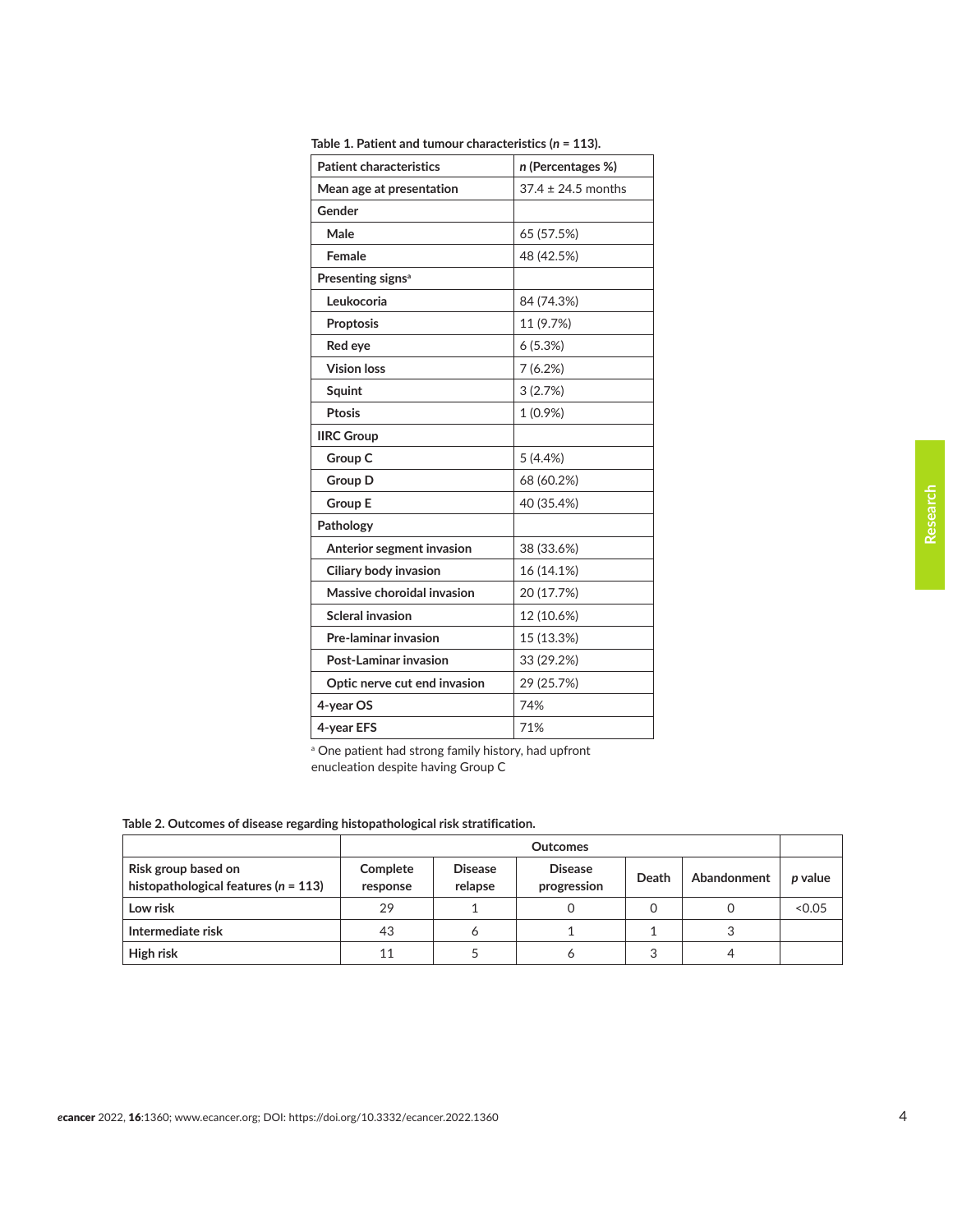| <b>Patient characteristics</b> | n (Percentages %)      |  |
|--------------------------------|------------------------|--|
| Mean age at presentation       | $37.4 \pm 24.5$ months |  |
| Gender                         |                        |  |
| Male                           | 65 (57.5%)             |  |
| Female                         | 48 (42.5%)             |  |
| Presenting signs <sup>a</sup>  |                        |  |
| Leukocoria                     | 84 (74.3%)             |  |
| Proptosis                      | 11 (9.7%)              |  |
| Red eye                        | 6(5.3%)                |  |
| <b>Vision loss</b>             | 7(6.2%)                |  |
| Squint                         | 3(2.7%)                |  |
| Ptosis                         | 1 (0.9%)               |  |
| <b>IIRC Group</b>              |                        |  |
| Group C                        | 5(4.4%)                |  |
| <b>Group D</b>                 | 68 (60.2%)             |  |
| <b>Group E</b>                 | 40 (35.4%)             |  |
| Pathology                      |                        |  |
| Anterior segment invasion      | 38 (33.6%)             |  |
| Ciliary body invasion          | 16 (14.1%)             |  |
| Massive choroidal invasion     | 20 (17.7%)             |  |
| <b>Scleral invasion</b>        | 12 (10.6%)             |  |
| Pre-laminar invasion           | 15 (13.3%)             |  |
| Post-Laminar invasion          | 33 (29.2%)             |  |
| Optic nerve cut end invasion   | 29 (25.7%)             |  |
| 4-year OS                      | 74%                    |  |
| 4-year EFS                     | 71%                    |  |

**Table 1. Patient and tumour characteristics (***n* **= 113).**

<sup>a</sup> One patient had strong family history, had upfront

enucleation despite having Group C

#### **Table 2. Outcomes of disease regarding histopathological risk stratification.**

|                                                                 | <b>Outcomes</b>      |                           |                               |       |             |         |
|-----------------------------------------------------------------|----------------------|---------------------------|-------------------------------|-------|-------------|---------|
| Risk group based on<br>histopathological features ( $n = 113$ ) | Complete<br>response | <b>Disease</b><br>relapse | <b>Disease</b><br>progression | Death | Abandonment | p value |
| Low risk                                                        | 29                   |                           |                               |       |             | < 0.05  |
| Intermediate risk                                               | 43                   | 6                         |                               |       |             |         |
| High risk                                                       | 11                   |                           |                               |       |             |         |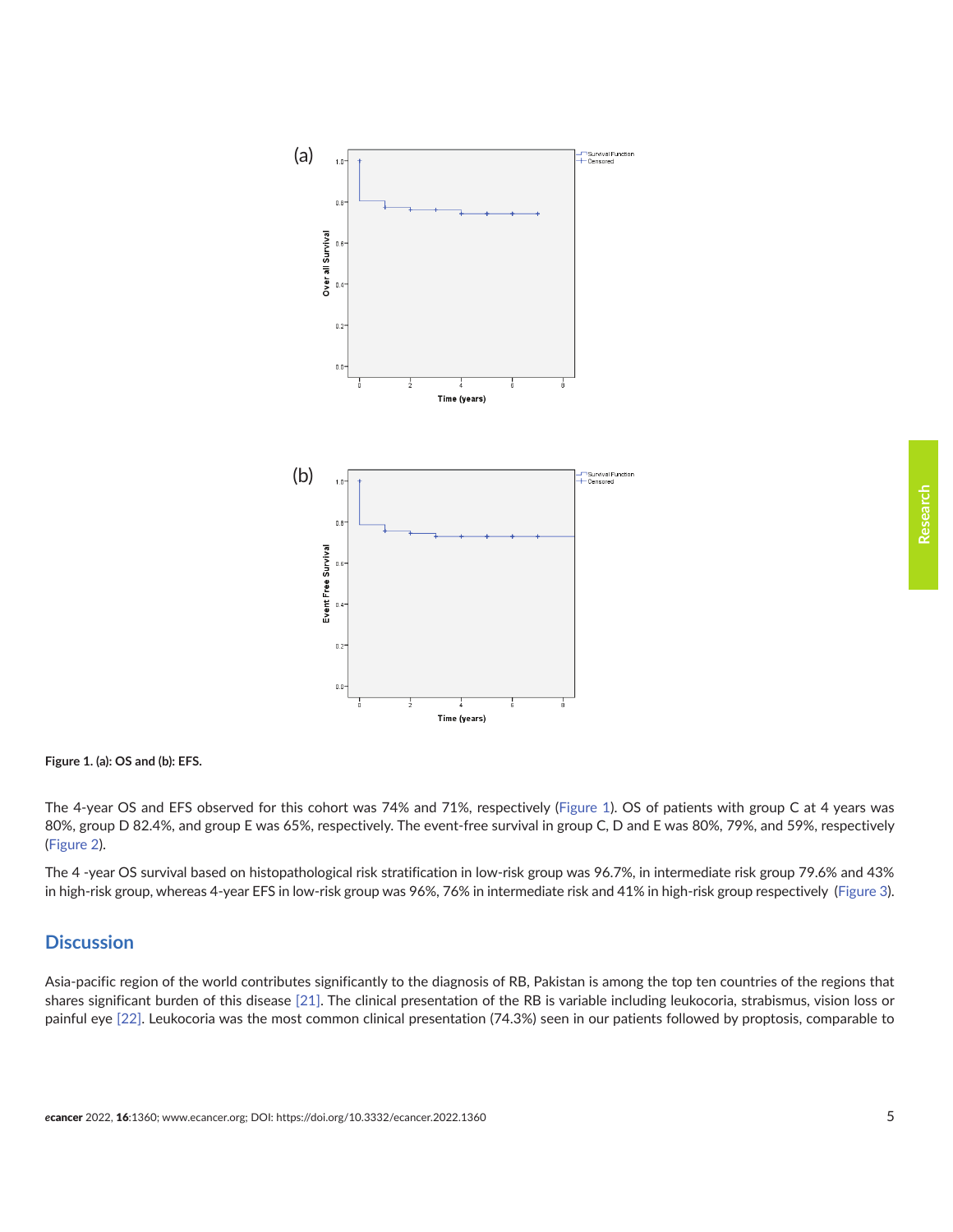

**Figure 1. (a): OS and (b): EFS.**

The 4-year OS and EFS observed for this cohort was 74% and 71%, respectively (Figure 1). OS of patients with group C at 4 years was 80%, group D 82.4%, and group E was 65%, respectively. The event-free survival in group C, D and E was 80%, 79%, and 59%, respectively [\(Figure 2\)](#page-5-0).

The 4-year OS survival based on histopathological risk stratification in low-risk group was 96.7%, in intermediate risk group 79.6% and 43% in high-risk group, whereas 4-year EFS in low-risk group was 96%, 76% in intermediate risk and 41% in high-risk group respectively ([Figure 3\)](#page-6-0).

### **Discussion**

Asia-pacific region of the world contributes significantly to the diagnosis of RB, Pakistan is among the top ten countries of the regions that shares significant burden of this disease [\[21\].](#page-9-0) The clinical presentation of the RB is variable including leukocoria, strabismus, vision loss or painful eye [\[22\].](#page-9-0) Leukocoria was the most common clinical presentation (74.3%) seen in our patients followed by proptosis, comparable to

**Research**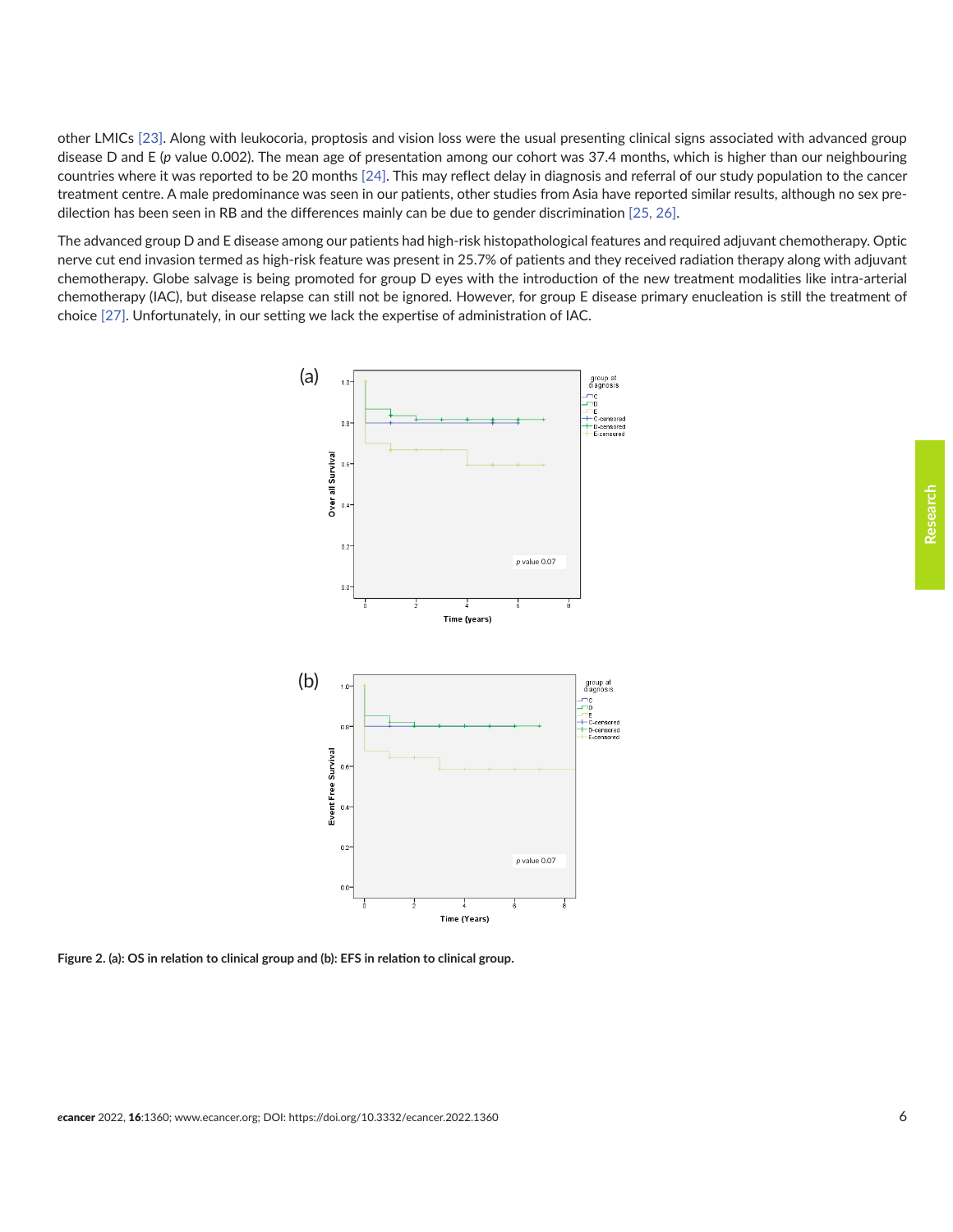<span id="page-5-0"></span>other LMICs [\[23\].](#page-9-0) Along with leukocoria, proptosis and vision loss were the usual presenting clinical signs associated with advanced group disease D and E (*p* value 0.002). The mean age of presentation among our cohort was 37.4 months, which is higher than our neighbouring countries where it was reported to be 20 months [\[24\]](#page-9-0). This may reflect delay in diagnosis and referral of our study population to the cancer treatment centre. A male predominance was seen in our patients, other studies from Asia have reported similar results, although no sex predilection has been seen in RB and the differences mainly can be due to gender discrimination [\[25,](#page-9-0) [26\].](#page-9-0)

The advanced group D and E disease among our patients had high-risk histopathological features and required adjuvant chemotherapy. Optic nerve cut end invasion termed as high-risk feature was present in 25.7% of patients and they received radiation therapy along with adjuvant chemotherapy. Globe salvage is being promoted for group D eyes with the introduction of the new treatment modalities like intra-arterial chemotherapy (IAC), but disease relapse can still not be ignored. However, for group E disease primary enucleation is still the treatment of choice [\[27\].](#page-9-0) Unfortunately, in our setting we lack the expertise of administration of IAC.



**Figure 2. (a): OS in relation to clinical group and (b): EFS in relation to clinical group.**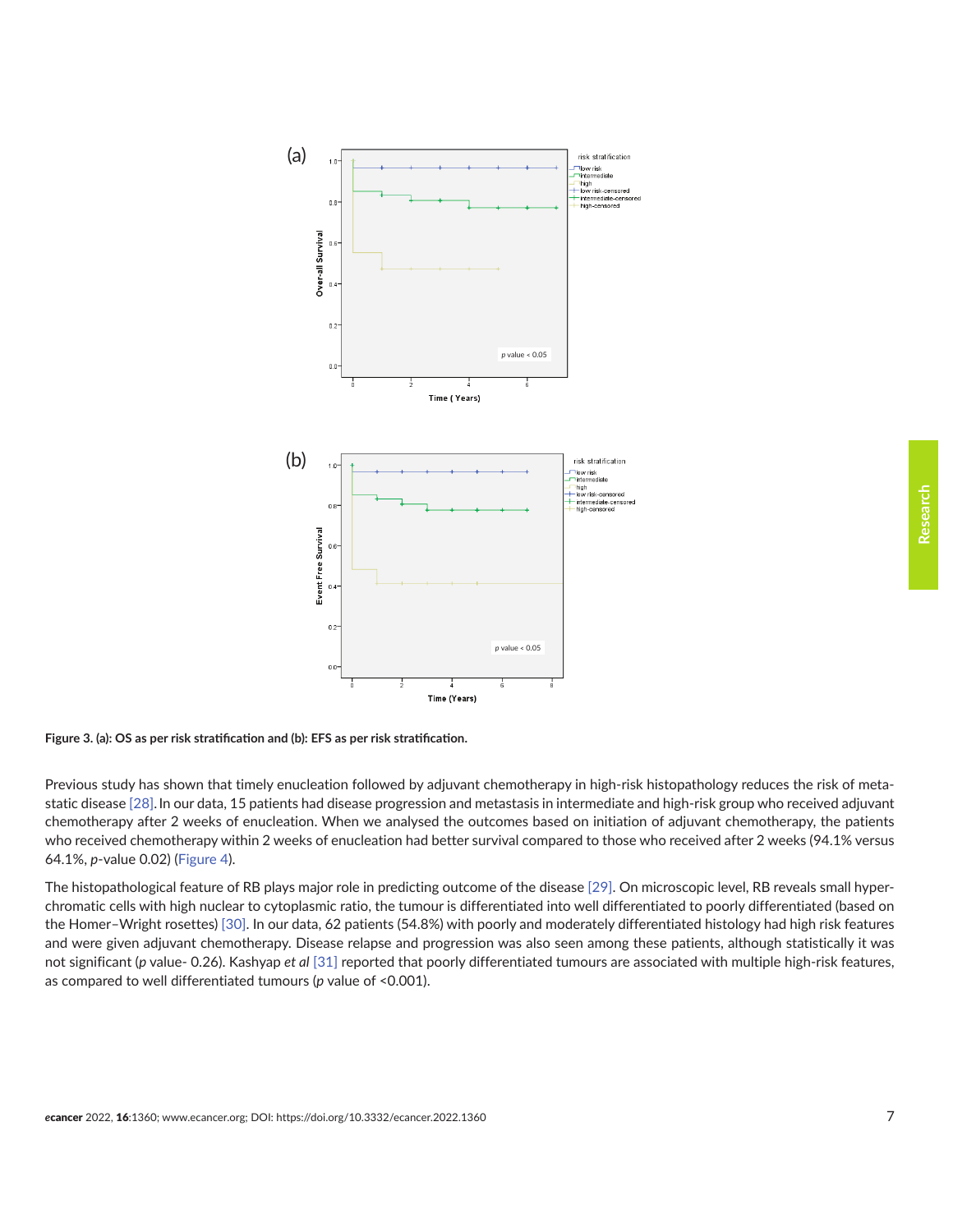<span id="page-6-0"></span>



Previous study has shown that timely enucleation followed by adjuvant chemotherapy in high-risk histopathology reduces the risk of metastatic disease [\[28\].](#page-9-0)In our data, 15 patients had disease progression and metastasis in intermediate and high-risk group who received adjuvant chemotherapy after 2 weeks of enucleation. When we analysed the outcomes based on initiation of adjuvant chemotherapy, the patients who received chemotherapy within 2 weeks of enucleation had better survival compared to those who received after 2 weeks (94.1% versus 64.1%, *p*-value 0.02) ([Figure 4\)](#page-7-0).

The histopathological feature of RB plays major role in predicting outcome of the disease [\[29\].](#page-10-0) On microscopic level, RB reveals small hyperchromatic cells with high nuclear to cytoplasmic ratio, the tumour is differentiated into well differentiated to poorly differentiated (based on the Homer–Wright rosettes) [\[30\]](#page-10-0). In our data, 62 patients (54.8%) with poorly and moderately differentiated histology had high risk features and were given adjuvant chemotherapy. Disease relapse and progression was also seen among these patients, although statistically it was not significant (*p* value- 0.26). Kashyap *et al* [\[31\]](#page-10-0) reported that poorly differentiated tumours are associated with multiple high-risk features, as compared to well differentiated tumours (*p* value of <0.001).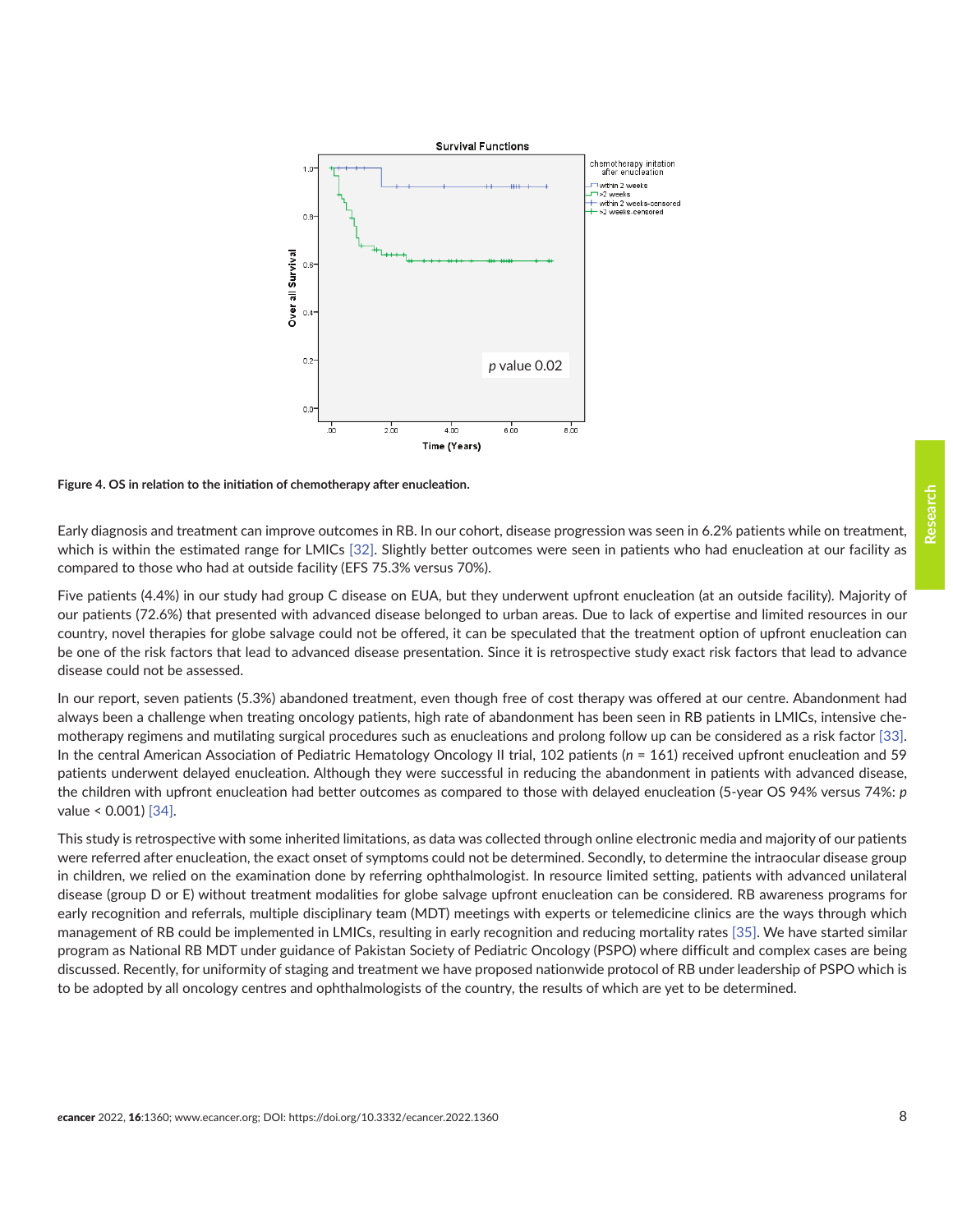<span id="page-7-0"></span>

**Figure 4. OS in relation to the initiation of chemotherapy after enucleation.**

Early diagnosis and treatment can improve outcomes in RB. In our cohort, disease progression was seen in 6.2% patients while on treatment, which is within the estimated range for LMICs [\[32\]](#page-10-0). Slightly better outcomes were seen in patients who had enucleation at our facility as compared to those who had at outside facility (EFS 75.3% versus 70%).

Five patients (4.4%) in our study had group C disease on EUA, but they underwent upfront enucleation (at an outside facility). Majority of our patients (72.6%) that presented with advanced disease belonged to urban areas. Due to lack of expertise and limited resources in our country, novel therapies for globe salvage could not be offered, it can be speculated that the treatment option of upfront enucleation can be one of the risk factors that lead to advanced disease presentation. Since it is retrospective study exact risk factors that lead to advance disease could not be assessed.

In our report, seven patients (5.3%) abandoned treatment, even though free of cost therapy was offered at our centre. Abandonment had always been a challenge when treating oncology patients, high rate of abandonment has been seen in RB patients in LMICs, intensive chemotherapy regimens and mutilating surgical procedures such as enucleations and prolong follow up can be considered as a risk factor [\[33\].](#page-10-0) In the central American Association of Pediatric Hematology Oncology II trial, 102 patients (*n* = 161) received upfront enucleation and 59 patients underwent delayed enucleation. Although they were successful in reducing the abandonment in patients with advanced disease, the children with upfront enucleation had better outcomes as compared to those with delayed enucleation (5-year OS 94% versus 74%: *p* value < 0.001) [\[34\]](#page-10-0).

This study is retrospective with some inherited limitations, as data was collected through online electronic media and majority of our patients were referred after enucleation, the exact onset of symptoms could not be determined. Secondly, to determine the intraocular disease group in children, we relied on the examination done by referring ophthalmologist. In resource limited setting, patients with advanced unilateral disease (group D or E) without treatment modalities for globe salvage upfront enucleation can be considered. RB awareness programs for early recognition and referrals, multiple disciplinary team (MDT) meetings with experts or telemedicine clinics are the ways through which management of RB could be implemented in LMICs, resulting in early recognition and reducing mortality rates [\[35\]](#page-10-0). We have started similar program as National RB MDT under guidance of Pakistan Society of Pediatric Oncology (PSPO) where difficult and complex cases are being discussed. Recently, for uniformity of staging and treatment we have proposed nationwide protocol of RB under leadership of PSPO which is to be adopted by all oncology centres and ophthalmologists of the country, the results of which are yet to be determined.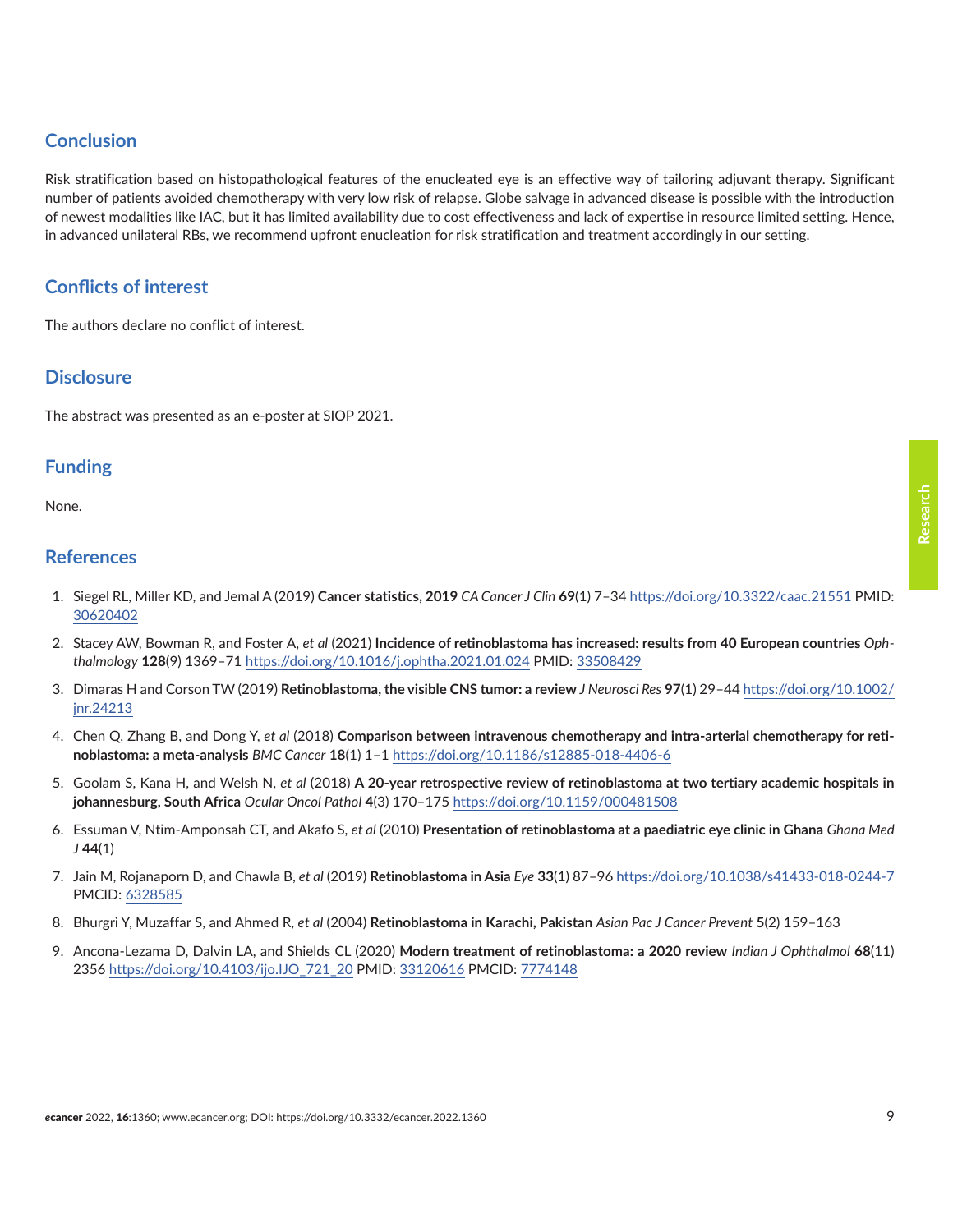### <span id="page-8-0"></span>**Conclusion**

Risk stratification based on histopathological features of the enucleated eye is an effective way of tailoring adjuvant therapy. Significant number of patients avoided chemotherapy with very low risk of relapse. Globe salvage in advanced disease is possible with the introduction of newest modalities like IAC, but it has limited availability due to cost effectiveness and lack of expertise in resource limited setting. Hence, in advanced unilateral RBs, we recommend upfront enucleation for risk stratification and treatment accordingly in our setting.

## **Conflicts of interest**

The authors declare no conflict of interest.

#### **Disclosure**

The abstract was presented as an e-poster at SIOP 2021.

#### **Funding**

None.

#### **References**

- 1. Siegel RL, Miller KD, and Jemal A (2019) **Cancer statistics, 2019** *CA Cancer J Clin* **69**(1) 7–34<https://doi.org/10.3322/caac.21551> PMID: [30620402](http://www.ncbi.nlm.nih.gov/pubmed/30620402)
- 2. Stacey AW, Bowman R, and Foster A, *et al* (2021) **Incidence of retinoblastoma has increased: results from 40 European countries** *Ophthalmology* **128**(9) 1369–71 <https://doi.org/10.1016/j.ophtha.2021.01.024>PMID: [33508429](http://www.ncbi.nlm.nih.gov/pubmed/33508429)
- 3. Dimaras H and Corson TW (2019) **Retinoblastoma, the visible CNS tumor: a review** *J Neurosci Res* **97**(1) 29–44 [https://doi.org/10.1002/](https://doi.org/10.1002/jnr.24213) [jnr.24213](https://doi.org/10.1002/jnr.24213)
- 4. Chen Q, Zhang B, and Dong Y, *et al* (2018) **Comparison between intravenous chemotherapy and intra-arterial chemotherapy for retinoblastoma: a meta-analysis** *BMC Cancer* **18**(1) 1–1<https://doi.org/10.1186/s12885-018-4406-6>
- 5. Goolam S, Kana H, and Welsh N, *et al* (2018) **A 20-year retrospective review of retinoblastoma at two tertiary academic hospitals in johannesburg, South Africa** *Ocular Oncol Pathol* **4**(3) 170–175<https://doi.org/10.1159/000481508>
- 6. Essuman V, Ntim-Amponsah CT, and Akafo S, *et al* (2010) **Presentation of retinoblastoma at a paediatric eye clinic in Ghana** *Ghana Med J* **44**(1)
- 7. Jain M, Rojanaporn D, and Chawla B, *et al* (2019) **Retinoblastoma in Asia** *Eye* **33**(1) 87–96<https://doi.org/10.1038/s41433-018-0244-7> PMCID: [6328585](http://www.ncbi.nlm.nih.gov/pmc/articles/PMC6328585)
- 8. Bhurgri Y, Muzaffar S, and Ahmed R, *et al* (2004) **Retinoblastoma in Karachi, Pakistan** *Asian Pac J Cancer Prevent* **5**(2) 159–163
- 9. Ancona-Lezama D, Dalvin LA, and Shields CL (2020) **Modern treatment of retinoblastoma: a 2020 review** *Indian J Ophthalmol* **68**(11) 2356 [https://doi.org/10.4103/ijo.IJO\\_721\\_20](https://doi.org/10.4103/ijo.IJO_721_20) PMID: [33120616](http://www.ncbi.nlm.nih.gov/pubmed/33120616) PMCID: [7774148](http://www.ncbi.nlm.nih.gov/pmc/articles/PMC7774148)

**Research**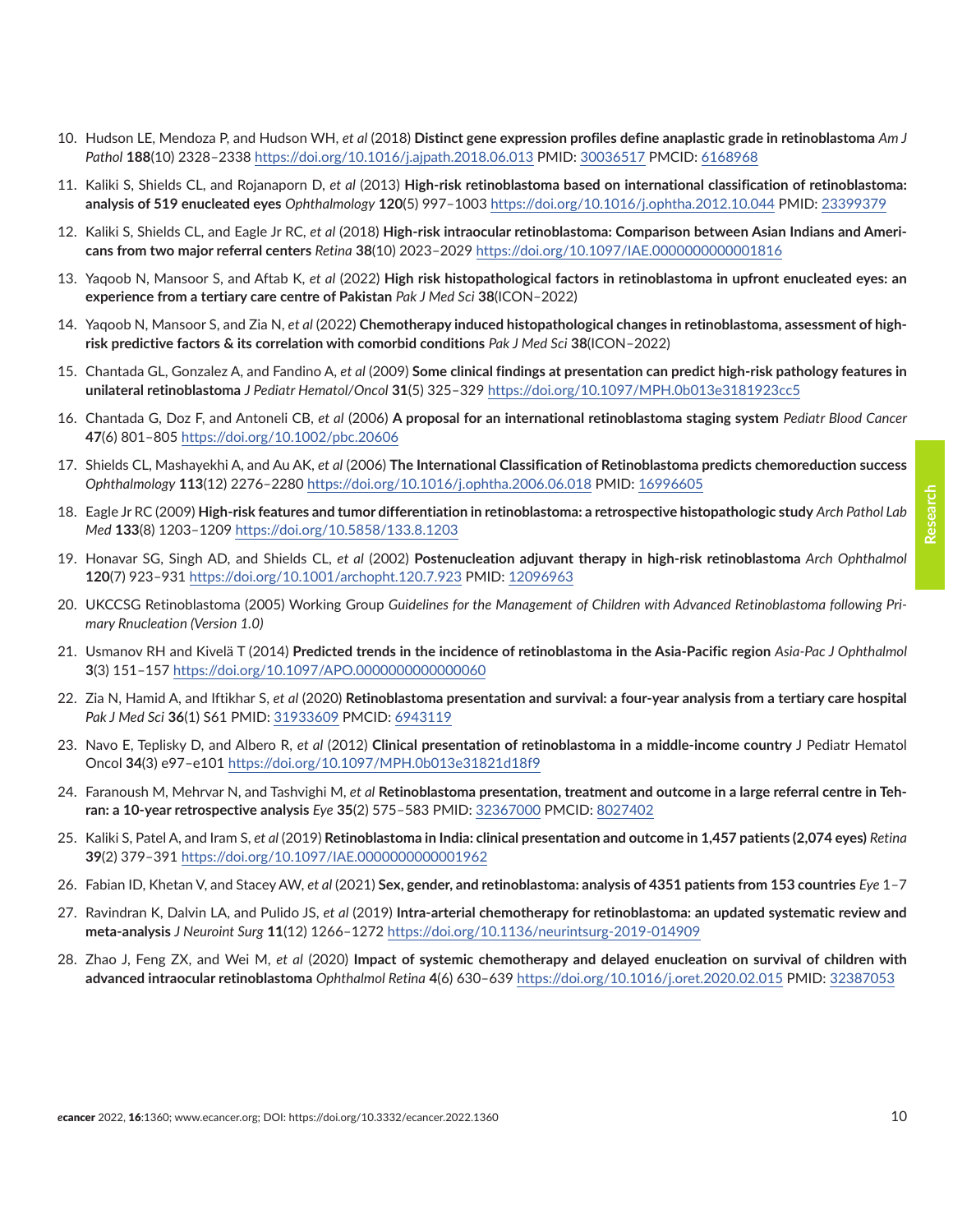- <span id="page-9-0"></span>10. Hudson LE, Mendoza P, and Hudson WH, *et al* (2018) **Distinct gene expression profiles define anaplastic grade in retinoblastoma** *Am J Pathol* **188**(10) 2328–2338 <https://doi.org/10.1016/j.ajpath.2018.06.013> PMID: [30036517](http://www.ncbi.nlm.nih.gov/pubmed/30036517) PMCID: [6168968](http://www.ncbi.nlm.nih.gov/pmc/articles/PMC6168968)
- 11. Kaliki S, Shields CL, and Rojanaporn D, *et al* (2013) **High-risk retinoblastoma based on international classification of retinoblastoma: analysis of 519 enucleated eyes** *Ophthalmology* **120**(5) 997–1003<https://doi.org/10.1016/j.ophtha.2012.10.044> PMID: [23399379](http://www.ncbi.nlm.nih.gov/pubmed/23399379)
- 12. Kaliki S, Shields CL, and Eagle Jr RC, *et al* (2018) **High-risk intraocular retinoblastoma: Comparison between Asian Indians and Americans from two major referral centers** *Retina* **38**(10) 2023–2029<https://doi.org/10.1097/IAE.0000000000001816>
- 13. Yaqoob N, Mansoor S, and Aftab K, *et al* (2022) **High risk histopathological factors in retinoblastoma in upfront enucleated eyes: an experience from a tertiary care centre of Pakistan** *Pak J Med Sci* **38**(ICON–2022)
- 14. Yaqoob N, Mansoor S, and Zia N, *et al* (2022) **Chemotherapy induced histopathological changes in retinoblastoma, assessment of highrisk predictive factors & its correlation with comorbid conditions** *Pak J Med Sci* **38**(ICON–2022)
- 15. Chantada GL, Gonzalez A, and Fandino A, *et al* (2009) **Some clinical findings at presentation can predict high-risk pathology features in unilateral retinoblastoma** *J Pediatr Hematol/Oncol* **31**(5) 325–329 <https://doi.org/10.1097/MPH.0b013e3181923cc5>
- 16. Chantada G, Doz F, and Antoneli CB, *et al* (2006) **A proposal for an international retinoblastoma staging system** *Pediatr Blood Cancer* **47**(6) 801–805 <https://doi.org/10.1002/pbc.20606>
- 17. Shields CL, Mashayekhi A, and Au AK, *et al* (2006) **The International Classification of Retinoblastoma predicts chemoreduction success** *Ophthalmology* **113**(12) 2276–2280 <https://doi.org/10.1016/j.ophtha.2006.06.018> PMID: [16996605](http://www.ncbi.nlm.nih.gov/pubmed/16996605)
- 18. Eagle Jr RC (2009) **High-risk features and tumor differentiation in retinoblastoma: a retrospective histopathologic study** *Arch Pathol Lab Med* **133**(8) 1203–1209<https://doi.org/10.5858/133.8.1203>
- 19. Honavar SG, Singh AD, and Shields CL, *et al* (2002) **Postenucleation adjuvant therapy in high-risk retinoblastoma** *Arch Ophthalmol* **120**(7) 923–931 <https://doi.org/10.1001/archopht.120.7.923>PMID: [12096963](http://www.ncbi.nlm.nih.gov/pubmed/12096963)
- 20. UKCCSG Retinoblastoma (2005) Working Group *Guidelines for the Management of Children with Advanced Retinoblastoma following Primary Rnucleation (Version 1.0)*
- 21. Usmanov RH and Kivelä T (2014) **Predicted trends in the incidence of retinoblastoma in the Asia-Pacific region** *Asia-Pac J Ophthalmol* **3**(3) 151–157<https://doi.org/10.1097/APO.0000000000000060>
- 22. Zia N, Hamid A, and Iftikhar S, *et al* (2020) **Retinoblastoma presentation and survival: a four-year analysis from a tertiary care hospital** *Pak J Med Sci* **36**(1) S61 PMID: [31933609](http://www.ncbi.nlm.nih.gov/pubmed/31933609) PMCID: [6943119](http://www.ncbi.nlm.nih.gov/pmc/articles/PMC6943119)
- 23. Navo E, Teplisky D, and Albero R, *et al* (2012) **Clinical presentation of retinoblastoma in a middle-income country** J Pediatr Hematol Oncol **34**(3) e97–e101 <https://doi.org/10.1097/MPH.0b013e31821d18f9>
- 24. Faranoush M, Mehrvar N, and Tashvighi M, *et al* **Retinoblastoma presentation, treatment and outcome in a large referral centre in Tehran: a 10-year retrospective analysis** *Eye* **35**(2) 575–583 PMID: [32367000](http://www.ncbi.nlm.nih.gov/pubmed/32367000) PMCID: [8027402](http://www.ncbi.nlm.nih.gov/pmc/articles/PMC8027402)
- 25. Kaliki S, Patel A, and Iram S, *et al* (2019) **Retinoblastoma in India: clinical presentation and outcome in 1,457 patients (2,074 eyes)** *Retina* **39**(2) 379–391 <https://doi.org/10.1097/IAE.0000000000001962>
- 26. Fabian ID, Khetan V, and Stacey AW, *et al* (2021) **Sex, gender, and retinoblastoma: analysis of 4351 patients from 153 countries** *Eye* 1–7
- 27. Ravindran K, Dalvin LA, and Pulido JS, *et al* (2019) **Intra-arterial chemotherapy for retinoblastoma: an updated systematic review and meta-analysis** *J Neuroint Surg* **11**(12) 1266–1272<https://doi.org/10.1136/neurintsurg-2019-014909>
- 28. Zhao J, Feng ZX, and Wei M, *et al* (2020) **Impact of systemic chemotherapy and delayed enucleation on survival of children with advanced intraocular retinoblastoma** *Ophthalmol Retina* **4**(6) 630–639<https://doi.org/10.1016/j.oret.2020.02.015> PMID: [32387053](http://www.ncbi.nlm.nih.gov/pubmed/32387053)